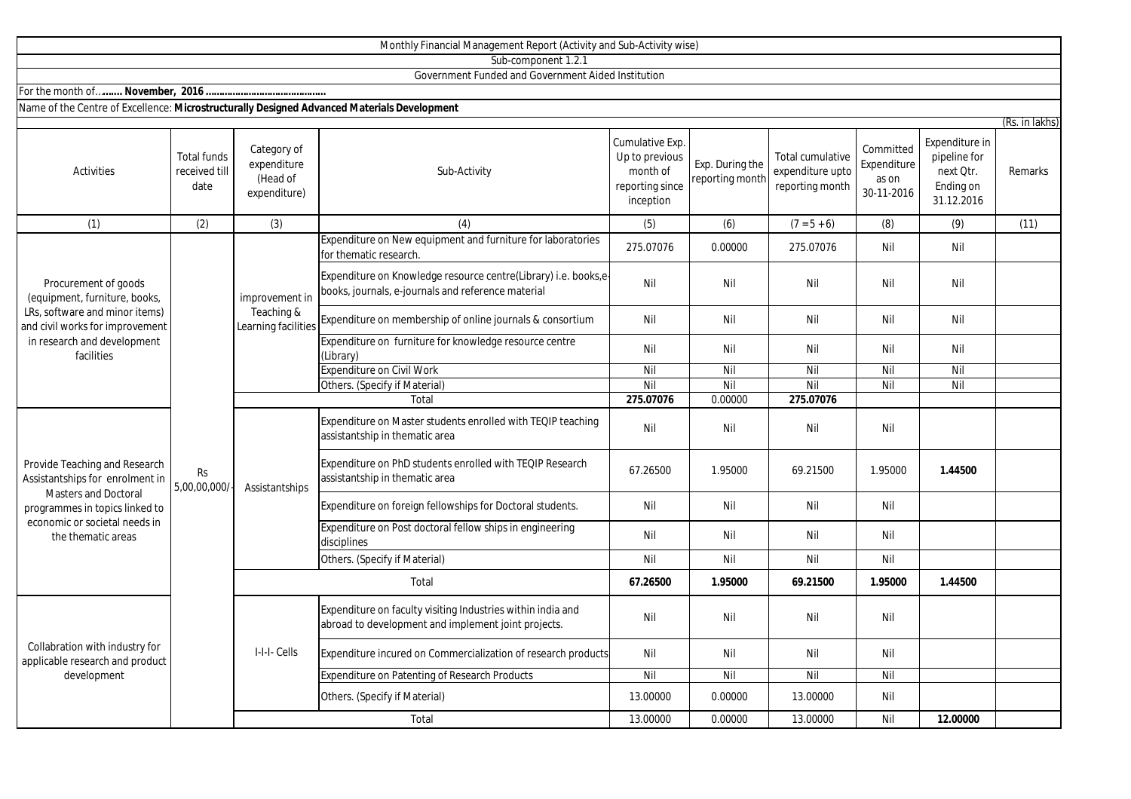|                                                                                                                                                                                          |                                             |                                                        | Sub-component 1.2.1                                                                                                   |                                                                               |                                    |                                                         |                                                 |                                                                        |                |
|------------------------------------------------------------------------------------------------------------------------------------------------------------------------------------------|---------------------------------------------|--------------------------------------------------------|-----------------------------------------------------------------------------------------------------------------------|-------------------------------------------------------------------------------|------------------------------------|---------------------------------------------------------|-------------------------------------------------|------------------------------------------------------------------------|----------------|
|                                                                                                                                                                                          |                                             |                                                        | Government Funded and Government Aided Institution                                                                    |                                                                               |                                    |                                                         |                                                 |                                                                        |                |
|                                                                                                                                                                                          |                                             |                                                        |                                                                                                                       |                                                                               |                                    |                                                         |                                                 |                                                                        |                |
| Name of the Centre of Excellence: Microstructurally Designed Advanced Materials Development                                                                                              |                                             |                                                        |                                                                                                                       |                                                                               |                                    |                                                         |                                                 |                                                                        | (Rs. in lakhs) |
| Activities                                                                                                                                                                               | <b>Total funds</b><br>received till<br>date | Category of<br>expenditure<br>(Head of<br>expenditure) | Sub-Activity                                                                                                          | Cumulative Exp.<br>Up to previous<br>month of<br>reporting since<br>inception | Exp. During the<br>reporting month | Total cumulative<br>expenditure upto<br>reporting month | Committed<br>Expenditure<br>as on<br>30-11-2016 | Expenditure in<br>pipeline for<br>next Qtr.<br>Ending on<br>31.12.2016 | Remarks        |
| (1)                                                                                                                                                                                      | (2)                                         | (3)                                                    | (4)                                                                                                                   | (5)                                                                           | (6)                                | $(7 = 5 + 6)$                                           | (8)                                             | (9)                                                                    | (11)           |
| Procurement of goods<br>(equipment, furniture, books,<br>LRs, software and minor items)<br>and civil works for improvement<br>in research and development<br>facilities                  | Rs<br>5,00,00,000/                          | improvement in<br>Teaching &<br>Learning facilities    | Expenditure on New equipment and furniture for laboratories<br>for thematic research.                                 | 275.07076                                                                     | 0.00000                            | 275.07076                                               | Nil                                             | Nil                                                                    |                |
|                                                                                                                                                                                          |                                             |                                                        | Expenditure on Knowledge resource centre(Library) i.e. books,e-<br>books, journals, e-journals and reference material | Nil                                                                           | Nil                                | Nil                                                     | Nil                                             | Nil                                                                    |                |
|                                                                                                                                                                                          |                                             |                                                        | Expenditure on membership of online journals & consortium                                                             | Nil                                                                           | Nil                                | Nil                                                     | Nil                                             | Nil                                                                    |                |
|                                                                                                                                                                                          |                                             |                                                        | Expenditure on furniture for knowledge resource centre<br>(Library)                                                   | Nil                                                                           | Nil                                | Nil                                                     | Nil                                             | Nil                                                                    |                |
|                                                                                                                                                                                          |                                             |                                                        | <b>Expenditure on Civil Work</b>                                                                                      | Nil                                                                           | Nil                                | Nil                                                     | Nil                                             | Nil                                                                    |                |
|                                                                                                                                                                                          |                                             |                                                        | Others. (Specify if Material)                                                                                         | Nil                                                                           | Nil                                | Nil                                                     | Nil                                             | Nil                                                                    |                |
|                                                                                                                                                                                          |                                             |                                                        | Total                                                                                                                 | 275.07076                                                                     | 0.00000                            | 275.07076                                               |                                                 |                                                                        |                |
| Provide Teaching and Research<br>Assistantships for enrolment in<br><b>Masters and Doctoral</b><br>programmes in topics linked to<br>economic or societal needs in<br>the thematic areas |                                             | Assistantships                                         | Expenditure on Master students enrolled with TEQIP teaching<br>assistantship in thematic area                         | Nil                                                                           | Nil                                | Nil                                                     | Nil                                             |                                                                        |                |
|                                                                                                                                                                                          |                                             |                                                        | Expenditure on PhD students enrolled with TEQIP Research<br>assistantship in thematic area                            | 67.26500                                                                      | 1.95000                            | 69.21500                                                | 1.95000                                         | 1.44500                                                                |                |
|                                                                                                                                                                                          |                                             |                                                        | Expenditure on foreign fellowships for Doctoral students.                                                             | Nil                                                                           | Nil                                | Nil                                                     | Nil                                             |                                                                        |                |
|                                                                                                                                                                                          |                                             |                                                        | Expenditure on Post doctoral fellow ships in engineering<br>disciplines                                               | Nil                                                                           | Nil                                | Nil                                                     | Nil                                             |                                                                        |                |
|                                                                                                                                                                                          |                                             |                                                        | Others. (Specify if Material)                                                                                         | Nil                                                                           | Nil                                | Nil                                                     | Nil                                             |                                                                        |                |
|                                                                                                                                                                                          |                                             | Total                                                  |                                                                                                                       | 67.26500                                                                      | 1.95000                            | 69.21500                                                | 1.95000                                         | 1.44500                                                                |                |
| Collabration with industry for<br>applicable research and product<br>development                                                                                                         |                                             | I-I-I-Cells                                            | Expenditure on faculty visiting Industries within india and<br>abroad to development and implement joint projects.    | Nil                                                                           | Nil                                | Nil                                                     | Nil                                             |                                                                        |                |
|                                                                                                                                                                                          |                                             |                                                        | Expenditure incured on Commercialization of research products                                                         | Nil                                                                           | Nil                                | Nil                                                     | Nil                                             |                                                                        |                |
|                                                                                                                                                                                          |                                             |                                                        | Expenditure on Patenting of Research Products                                                                         | $\overline{N}$                                                                | Nil                                | Nil                                                     | Nil                                             |                                                                        |                |
|                                                                                                                                                                                          |                                             |                                                        | Others. (Specify if Material)                                                                                         | 13.00000                                                                      | 0.00000                            | 13.00000                                                | Nil                                             |                                                                        |                |
|                                                                                                                                                                                          |                                             |                                                        | Total                                                                                                                 | 13.00000                                                                      | 0.00000                            | 13.00000                                                | Nil                                             | 12.00000                                                               |                |

Monthly Financial Management Report (Activity and Sub-Activity wise)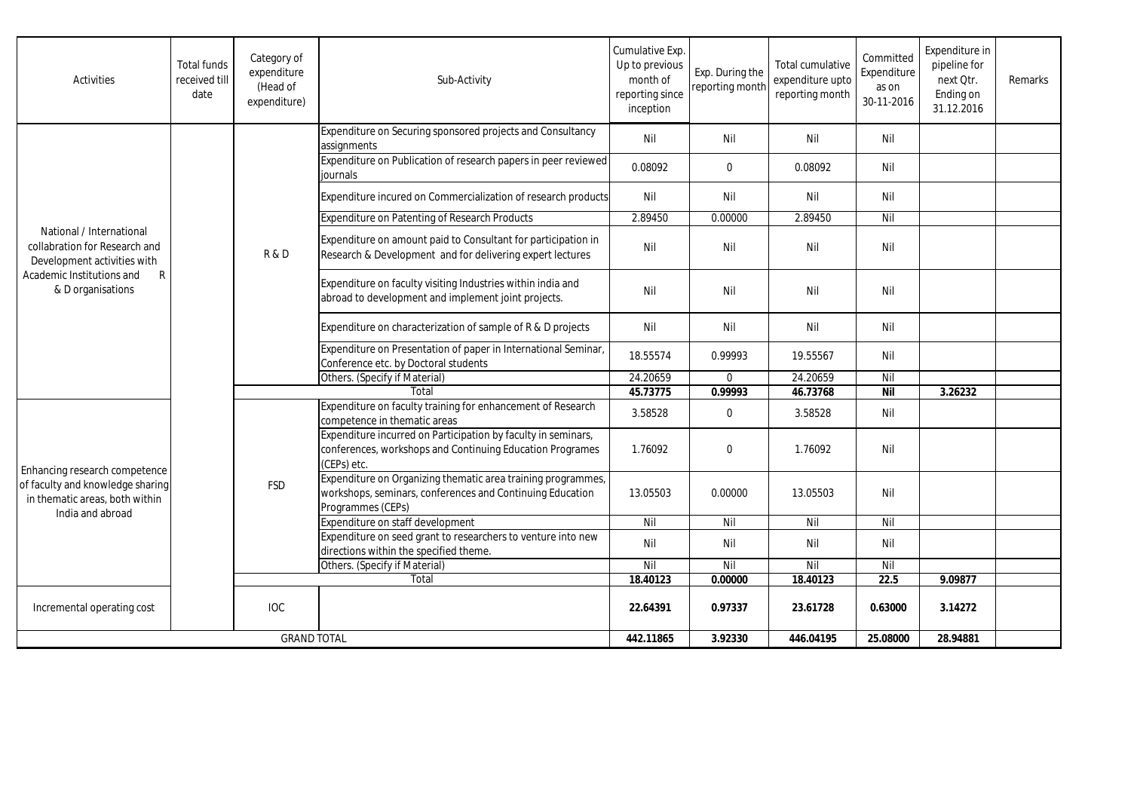| Activities                                                                                                                                                 | <b>Total funds</b><br>received till<br>date | Category of<br>expenditure<br>(Head of<br>expenditure) | Sub-Activity                                                                                                                                   | Cumulative Exp.<br>Up to previous<br>month of<br>reporting since<br>inception | Exp. During the<br>reporting month | Total cumulative<br>expenditure upto<br>reporting month | Committed<br>Expenditure<br>as on<br>30-11-2016 | Expenditure in<br>pipeline for<br>next Otr.<br>Ending on<br>31.12.2016 | Remarks |
|------------------------------------------------------------------------------------------------------------------------------------------------------------|---------------------------------------------|--------------------------------------------------------|------------------------------------------------------------------------------------------------------------------------------------------------|-------------------------------------------------------------------------------|------------------------------------|---------------------------------------------------------|-------------------------------------------------|------------------------------------------------------------------------|---------|
| National / International<br>collabration for Research and<br>Development activities with<br>$\mathsf{R}$<br>Academic Institutions and<br>& D organisations |                                             | <b>R&amp;D</b>                                         | Expenditure on Securing sponsored projects and Consultancy<br>assignments                                                                      | Nil                                                                           | Nil                                | Nil                                                     | Nil                                             |                                                                        |         |
|                                                                                                                                                            |                                             |                                                        | Expenditure on Publication of research papers in peer reviewed<br>journals                                                                     | 0.08092                                                                       | $\mathbf 0$                        | 0.08092                                                 | Nil                                             |                                                                        |         |
|                                                                                                                                                            |                                             |                                                        | Expenditure incured on Commercialization of research products                                                                                  | Nil                                                                           | Nil                                | Nil                                                     | Nil                                             |                                                                        |         |
|                                                                                                                                                            |                                             |                                                        | <b>Expenditure on Patenting of Research Products</b>                                                                                           | 2.89450                                                                       | 0.00000                            | 2.89450                                                 | Nil                                             |                                                                        |         |
|                                                                                                                                                            |                                             |                                                        | Expenditure on amount paid to Consultant for participation in<br>Research & Development and for delivering expert lectures                     | Nil                                                                           | Nil                                | Nil                                                     | Nil                                             |                                                                        |         |
|                                                                                                                                                            |                                             |                                                        | Expenditure on faculty visiting Industries within india and<br>abroad to development and implement joint projects.                             | Nil                                                                           | Nil                                | Nil                                                     | Nil                                             |                                                                        |         |
|                                                                                                                                                            |                                             |                                                        | Expenditure on characterization of sample of R & D projects                                                                                    | Nil                                                                           | Nil                                | Nil                                                     | Nil                                             |                                                                        |         |
|                                                                                                                                                            |                                             |                                                        | Expenditure on Presentation of paper in International Seminar,<br>Conference etc. by Doctoral students                                         | 18.55574                                                                      | 0.99993                            | 19.55567                                                | Nil                                             |                                                                        |         |
|                                                                                                                                                            |                                             |                                                        | Others. (Specify if Material)                                                                                                                  | 24.20659                                                                      | $\mathbf 0$                        | 24.20659                                                | Nil                                             |                                                                        |         |
|                                                                                                                                                            |                                             |                                                        | Total                                                                                                                                          | 45.73775                                                                      | 0.99993                            | 46.73768                                                | <b>Nil</b>                                      | 3.26232                                                                |         |
| Enhancing research competence<br>of faculty and knowledge sharing<br>in thematic areas, both within<br>India and abroad                                    |                                             | <b>FSD</b>                                             | Expenditure on faculty training for enhancement of Research<br>competence in thematic areas                                                    | 3.58528                                                                       | $\mathbf 0$                        | 3.58528                                                 | Nil                                             |                                                                        |         |
|                                                                                                                                                            |                                             |                                                        | Expenditure incurred on Participation by faculty in seminars,<br>conferences, workshops and Continuing Education Programes<br>(CEPs) etc.      | 1.76092                                                                       | $\Omega$                           | 1.76092                                                 | Nil                                             |                                                                        |         |
|                                                                                                                                                            |                                             |                                                        | Expenditure on Organizing thematic area training programmes,<br>workshops, seminars, conferences and Continuing Education<br>Programmes (CEPs) | 13.05503                                                                      | 0.00000                            | 13.05503                                                | Nil                                             |                                                                        |         |
|                                                                                                                                                            |                                             |                                                        | Expenditure on staff development                                                                                                               | Nil                                                                           | Nil                                | Nil                                                     | Nil                                             |                                                                        |         |
|                                                                                                                                                            |                                             |                                                        | Expenditure on seed grant to researchers to venture into new<br>directions within the specified theme.                                         | Nil                                                                           | Nil                                | Nil                                                     | Nil                                             |                                                                        |         |
|                                                                                                                                                            |                                             |                                                        | Others. (Specify if Material)                                                                                                                  | Nil                                                                           | Nil                                | Nil                                                     | Nil                                             |                                                                        |         |
|                                                                                                                                                            |                                             | Total                                                  |                                                                                                                                                | 18.40123                                                                      | 0.00000                            | 18.40123                                                | 22.5                                            | 9.09877                                                                |         |
| Incremental operating cost                                                                                                                                 |                                             | <b>IOC</b>                                             |                                                                                                                                                | 22.64391                                                                      | 0.97337                            | 23.61728                                                | 0.63000                                         | 3.14272                                                                |         |
| <b>GRAND TOTAL</b>                                                                                                                                         |                                             |                                                        | 442.11865                                                                                                                                      | 3.92330                                                                       | 446.04195                          | 25.08000                                                | 28.94881                                        |                                                                        |         |